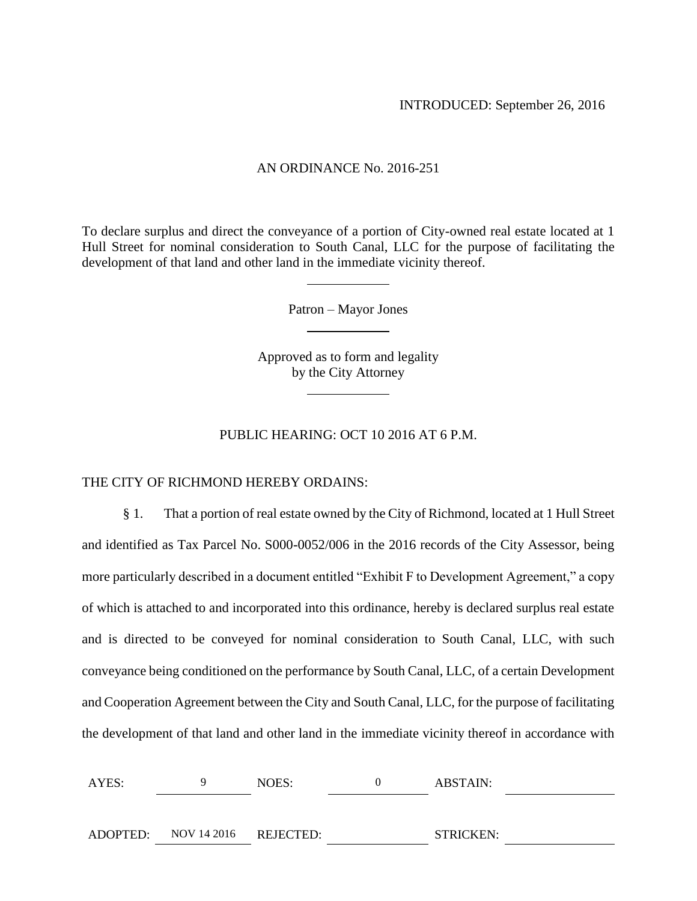#### AN ORDINANCE No. 2016-251

To declare surplus and direct the conveyance of a portion of City-owned real estate located at 1 Hull Street for nominal consideration to South Canal, LLC for the purpose of facilitating the development of that land and other land in the immediate vicinity thereof.

Patron – Mayor Jones

Approved as to form and legality by the City Attorney

### PUBLIC HEARING: OCT 10 2016 AT 6 P.M.

THE CITY OF RICHMOND HEREBY ORDAINS:

§ 1. That a portion of real estate owned by the City of Richmond, located at 1 Hull Street and identified as Tax Parcel No. S000-0052/006 in the 2016 records of the City Assessor, being more particularly described in a document entitled "Exhibit F to Development Agreement," a copy of which is attached to and incorporated into this ordinance, hereby is declared surplus real estate and is directed to be conveyed for nominal consideration to South Canal, LLC, with such conveyance being conditioned on the performance by South Canal, LLC, of a certain Development and Cooperation Agreement between the City and South Canal, LLC, for the purpose of facilitating the development of that land and other land in the immediate vicinity thereof in accordance with

| AYES: |                                | NOES: | ABSTAIN:         |  |
|-------|--------------------------------|-------|------------------|--|
|       |                                |       |                  |  |
|       | ADOPTED: NOV 14 2016 REJECTED: |       | <b>STRICKEN:</b> |  |
|       |                                |       |                  |  |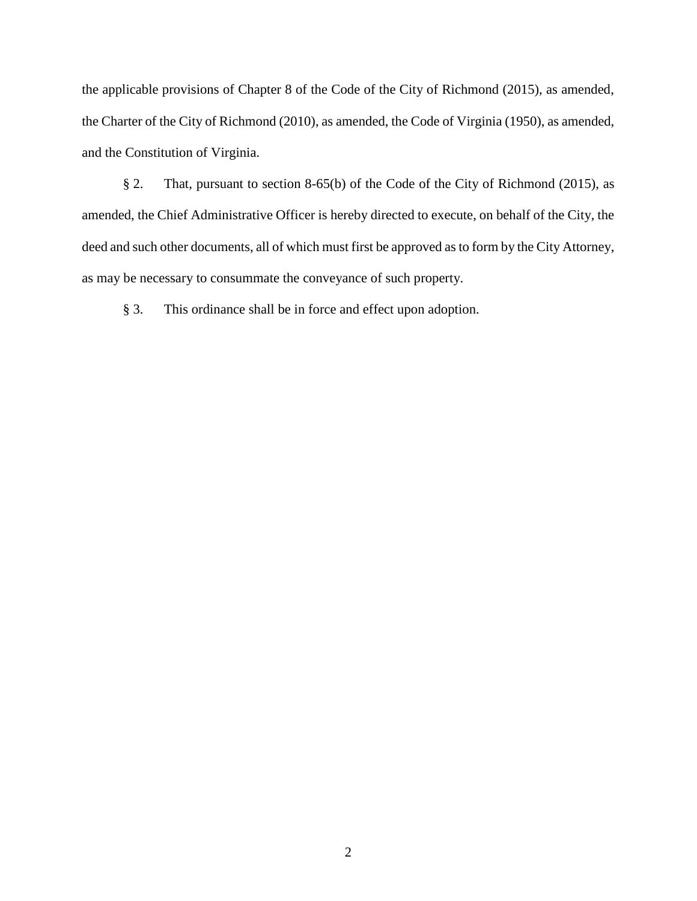the applicable provisions of Chapter 8 of the Code of the City of Richmond (2015), as amended, the Charter of the City of Richmond (2010), as amended, the Code of Virginia (1950), as amended, and the Constitution of Virginia.

§ 2. That, pursuant to section 8-65(b) of the Code of the City of Richmond (2015), as amended, the Chief Administrative Officer is hereby directed to execute, on behalf of the City, the deed and such other documents, all of which must first be approved as to form by the City Attorney, as may be necessary to consummate the conveyance of such property.

§ 3. This ordinance shall be in force and effect upon adoption.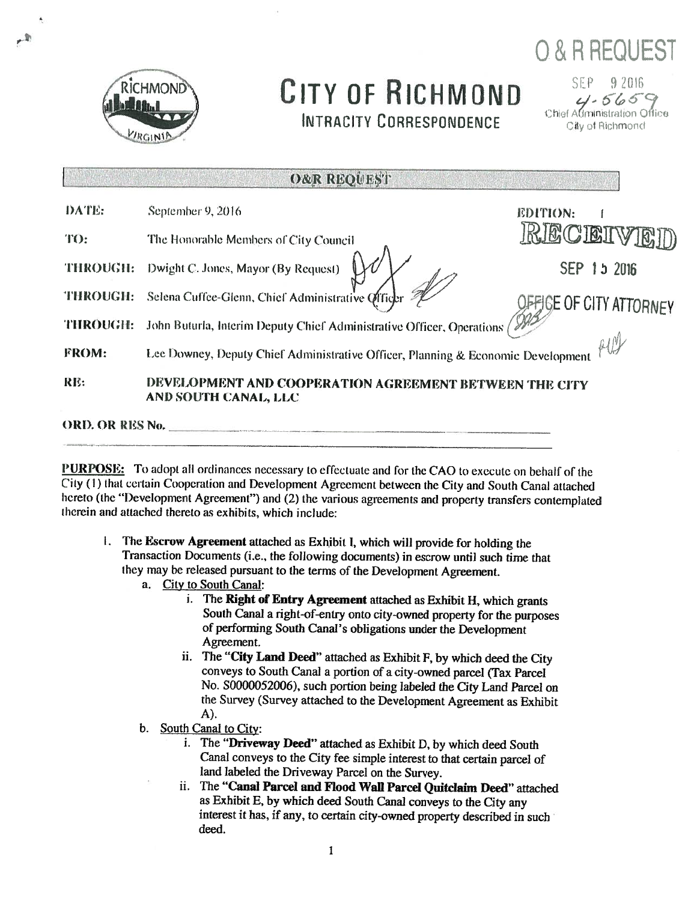

# CITY OF RICHMOND **INTRACITY CORRESPONDENCE**

**O & R REQUEST** 

SEP 9 2016  $4.5659$ <br>Chief Administration Office City of Richmond

| <b>ORD. OR RES No.</b> |                                                                                  |                                |  |  |  |
|------------------------|----------------------------------------------------------------------------------|--------------------------------|--|--|--|
| RE:                    | DEVELOPMENT AND COOPERATION AGREEMENT BETWEEN THE CITY<br>AND SOUTH CANAL, LLC   |                                |  |  |  |
| FROM:                  | Lee Downey, Deputy Chief Administrative Officer, Planning & Economic Development |                                |  |  |  |
| <b>THROUGH:</b>        | John Buturla, Interim Deputy Chief Administrative Officer, Operations /          |                                |  |  |  |
| THROUGH:               | Selena Cuffee-Glenn, Chief Administrative Officer                                | <b>DEFIGE OF CITY ATTORNEY</b> |  |  |  |
| <b>THROUGH:</b>        | Dwight C. Jones, Mayor (By Request)                                              | SEP 15 2016                    |  |  |  |
| TO:                    | The Honorable Members of City Council                                            | RECEIVED                       |  |  |  |
| DATE:                  | September 9, 2016                                                                | <b>EDITION:</b>                |  |  |  |

EN TERRITORIA DE TRANSPORTE DE LA CARD

PURPOSE: To adopt all ordinances necessary to effectuate and for the CAO to execute on behalf of the City (1) that certain Cooperation and Development Agreement between the City and South Canal attached hereto (the "Development Agreement") and (2) the various agreements and property transfers contemplated therein and attached thereto as exhibits, which include:

- 1. The Escrow Agreement attached as Exhibit I, which will provide for holding the Transaction Documents (i.e., the following documents) in escrow until such time that they may be released pursuant to the terms of the Development Agreement.
	- a. City to South Canal:
		- The Right of Entry Agreement attached as Exhibit H, which grants i. South Canal a right-of-entry onto city-owned property for the purposes of performing South Canal's obligations under the Development Agreement.
		- ii. The "City Land Deed" attached as Exhibit F, by which deed the City conveys to South Canal a portion of a city-owned parcel (Tax Parcel No. S0000052006), such portion being labeled the City Land Parcel on the Survey (Survey attached to the Development Agreement as Exhibit  $A)$ .
	- b. South Canal to City:
		- i. The "Driveway Deed" attached as Exhibit D, by which deed South Canal conveys to the City fee simple interest to that certain parcel of land labeled the Driveway Parcel on the Survey.
		- ii. The "Canal Parcel and Flood Wall Parcel Quitclaim Deed" attached as Exhibit E, by which deed South Canal conveys to the City any interest it has, if any, to certain city-owned property described in such deed.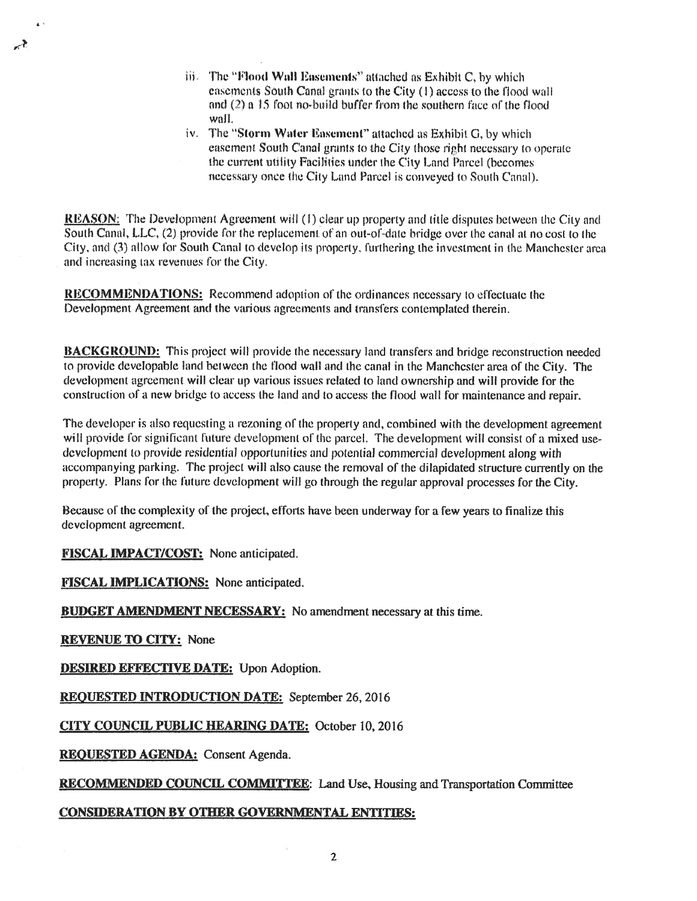- iii. The "Flood Wall Easements" attached as Exhibit C, by which easements South Canal grants to the City (1) access to the flood wall and (2) a 15 foot no-build buffer from the southern face of the flood wall.
- iv. The "Storm Water Easement" attached as Exhibit G, by which easement South Canal grants to the City those right necessary to operate the current utility Facilities under the City Land Parcel (becomes necessary once the City Land Parcel is conveyed to South Canal).

**REASON:** The Development Agreement will (1) clear up property and title disputes between the City and South Canal, L.L.C. (2) provide for the replacement of an out-of-date bridge over the canal at no cost to the City, and (3) allow for South Canal to develop its property, furthering the investment in the Manchester area and increasing tax revenues for the City.

**RECOMMENDATIONS:** Recommend adoption of the ordinances necessary to effectuate the Development Agreement and the various agreements and transfers contemplated therein.

**BACKGROUND:** This project will provide the necessary land transfers and bridge reconstruction needed to provide developable land between the flood wall and the canal in the Manchester area of the City. The development agreement will clear up various issues related to land ownership and will provide for the construction of a new bridge to access the land and to access the flood wall for maintenance and repair.

The developer is also requesting a rezoning of the property and, combined with the development agreement will provide for significant future development of the parcel. The development will consist of a mixed usedevelopment to provide residential opportunities and potential commercial development along with accompanying parking. The project will also cause the removal of the dilapidated structure currently on the property. Plans for the future development will go through the regular approval processes for the City.

Because of the complexity of the project, efforts have been underway for a few years to finalize this development agreement.

**FISCAL IMPACT/COST:** None anticipated.

**FISCAL IMPLICATIONS:** None anticipated.

**BUDGET AMENDMENT NECESSARY:** No amendment necessary at this time.

**REVENUE TO CITY: None** 

ly≹

**DESIRED EFFECTIVE DATE:** Upon Adoption.

**REQUESTED INTRODUCTION DATE:** September 26, 2016

**CITY COUNCIL PUBLIC HEARING DATE: October 10, 2016** 

REQUESTED AGENDA: Consent Agenda.

**RECOMMENDED COUNCIL COMMITTEE:** Land Use, Housing and Transportation Committee

### **CONSIDERATION BY OTHER GOVERNMENTAL ENTITIES:**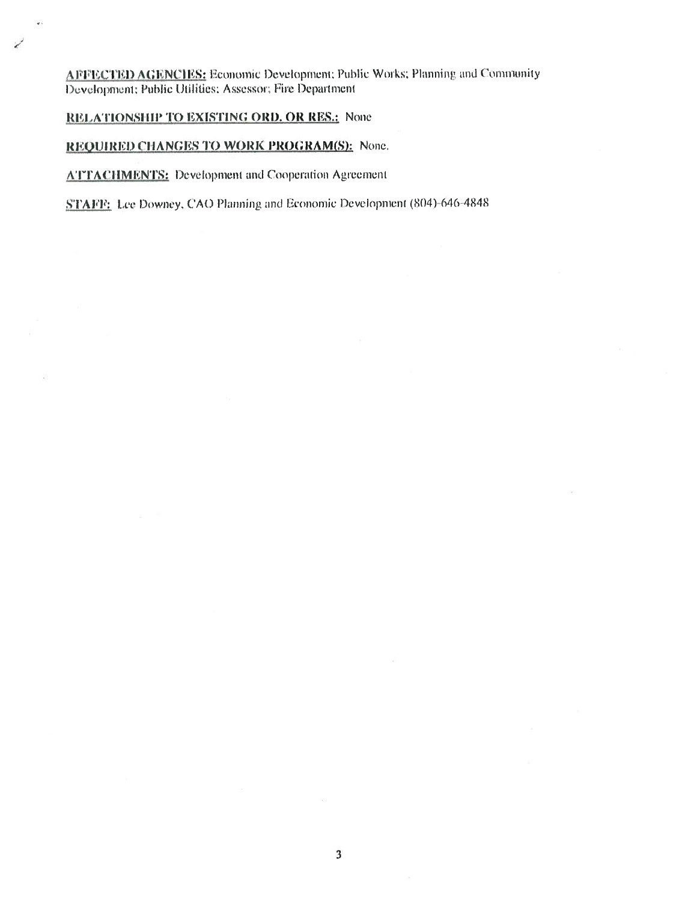AFFECTED AGENCIES: Economic Development; Public Works; Planning and Community Development; Public Utilities; Assessor; Fire Department

RELATIONSHIP TO EXISTING ORD. OR RES.: None

### REQUIRED CHANGES TO WORK PROGRAM(S): None.

**ATTACHMENTS:** Development and Cooperation Agreement

STAFF: Lee Downey, CAO Planning and Economic Development (804)-646-4848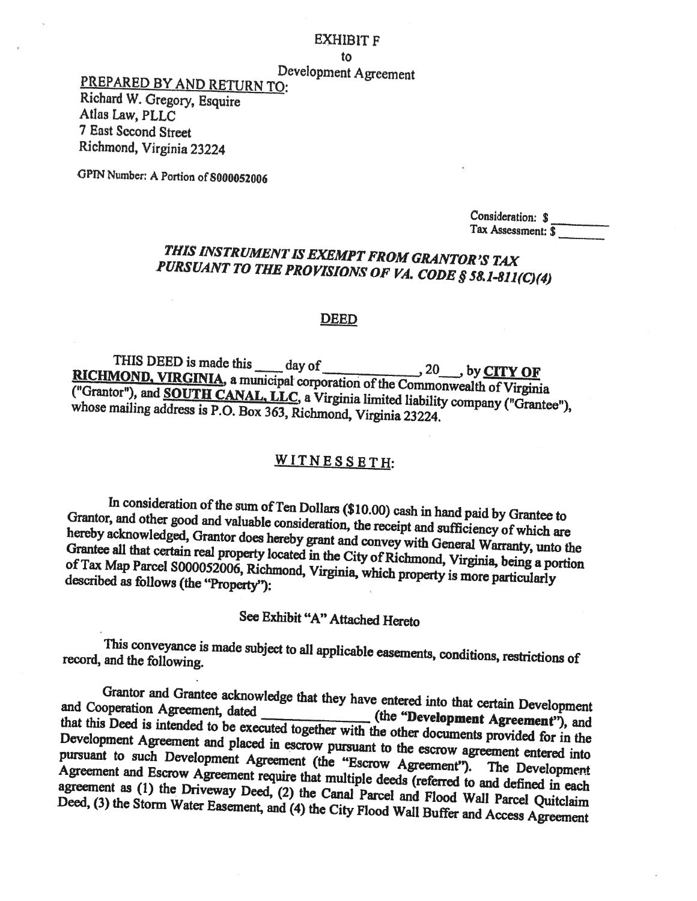#### **EXHIBIT F**

to

Development Agreement

PREPARED BY AND RETURN TO: Richard W. Gregory, Esquire Atlas Law, PLLC 7 East Second Street Richmond, Virginia 23224

GPIN Number: A Portion of S000052006

Consideration: \$ Tax Assessment: \$

## THIS INSTRUMENT IS EXEMPT FROM GRANTOR'S TAX PURSUANT TO THE PROVISIONS OF VA. CODE § 58.1-811(C)(4)

#### **DEED**

THIS DEED is made this \_\_\_\_ day of  $20$  by CITY OF RICHMOND, VIRGINIA, a municipal corporation of the Commonwealth of Virginia ("Grantor"), and **SOUTH CANAL, LLC**, a Virginia limited liability company ("Grantee"), whose mailing address is P.O. Box 363, Richmond, Virginia 23224.

## WITNESSETH:

In consideration of the sum of Ten Dollars (\$10.00) cash in hand paid by Grantee to Grantor, and other good and valuable consideration, the receipt and sufficiency of which are hereby acknowledged, Grantor does hereby grant and convey with General Warranty, unto the Grantee all that certain real property located in the City of Richmond, Virginia, being a portion of Tax Map Parcel S000052006, Richmond, Virginia, which property is more particularly described as follows (the "Property"):

## See Exhibit "A" Attached Hereto

This conveyance is made subject to all applicable easements, conditions, restrictions of record, and the following.

Grantor and Grantee acknowledge that they have entered into that certain Development and Cooperation Agreement, dated (the "Development Agreement"), and that this Deed is intended to be executed together with the other documents provided for in the Development Agreement and placed in escrow pursuant to the escrow agreement entered into pursuant to such Development Agreement (the "Escrow Agreement"). The Development Agreement and Escrow Agreement require that multiple deeds (referred to and defined in each agreement as (1) the Driveway Deed, (2) the Canal Parcel and Flood Wall Parcel Quitclaim Deed, (3) the Storm Water Easement, and (4) the City Flood Wall Buffer and Access Agreement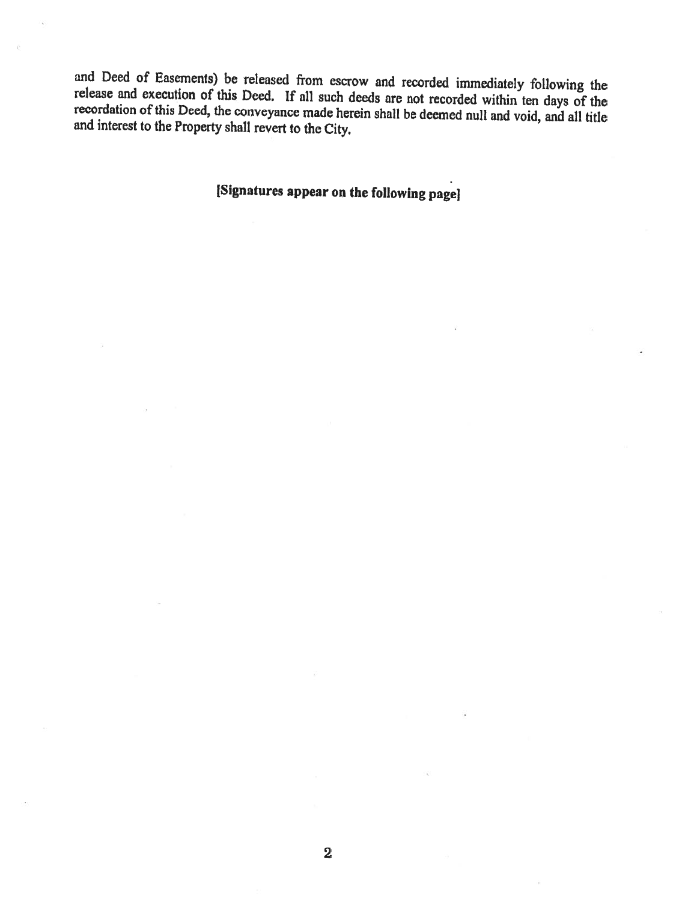and Deed of Easements) be released from escrow and recorded immediately following the release and execution of this Deed. If all such deeds are not recorded within ten days of the recordation of this Deed, the conveyance made herein shall be deemed null and void, and all title and interest to the Property shall revert to the City.

[Signatures appear on the following page]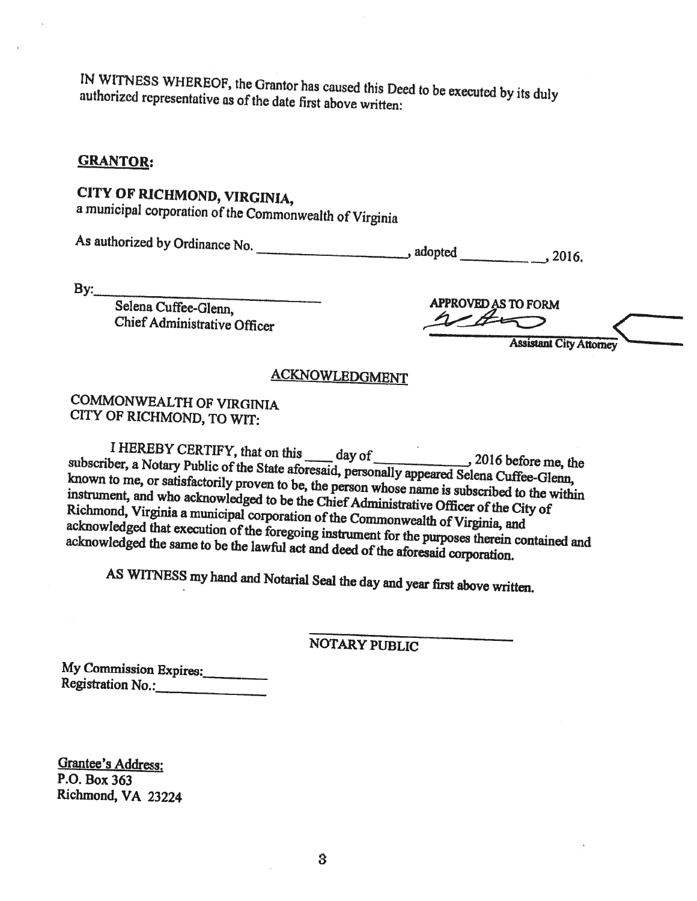IN WITNESS WHEREOF, the Grantor has caused this Deed to be executed by its duly authorized representative as of the date first above written:

#### **GRANTOR:**

# CITY OF RICHMOND, VIRGINIA,

a municipal corporation of the Commonwealth of Virginia

 $By:$ 

Selena Cuffee-Glenn, Chief Administrative Officer

**APPROVED AS TO FORM** 

**Assistant City Attorney** 

## **ACKNOWLEDGMENT**

## **COMMONWEALTH OF VIRGINIA** CITY OF RICHMOND, TO WIT:

I HEREBY CERTIFY, that on this day of 2016 before me, the subscriber, a Notary Public of the State aforesaid, personally appeared Selena Cuffee-Glenn, known to me, or satisfactorily proven to be, the person whose name is subscribed to the within instrument, and who acknowledged to be the Chief Administrative Officer of the City of Richmond, Virginia a municipal corporation of the Commonwealth of Virginia, and acknowledged that execution of the foregoing instrument for the purposes therein contained and acknowledged the same to be the lawful act and deed of the aforesaid corporation.

AS WITNESS my hand and Notarial Seal the day and year first above written.

NOTARY PUBLIC

My Commission Expires: Registration No.:

**Grantee's Address:** P.O. Box 363 Richmond, VA 23224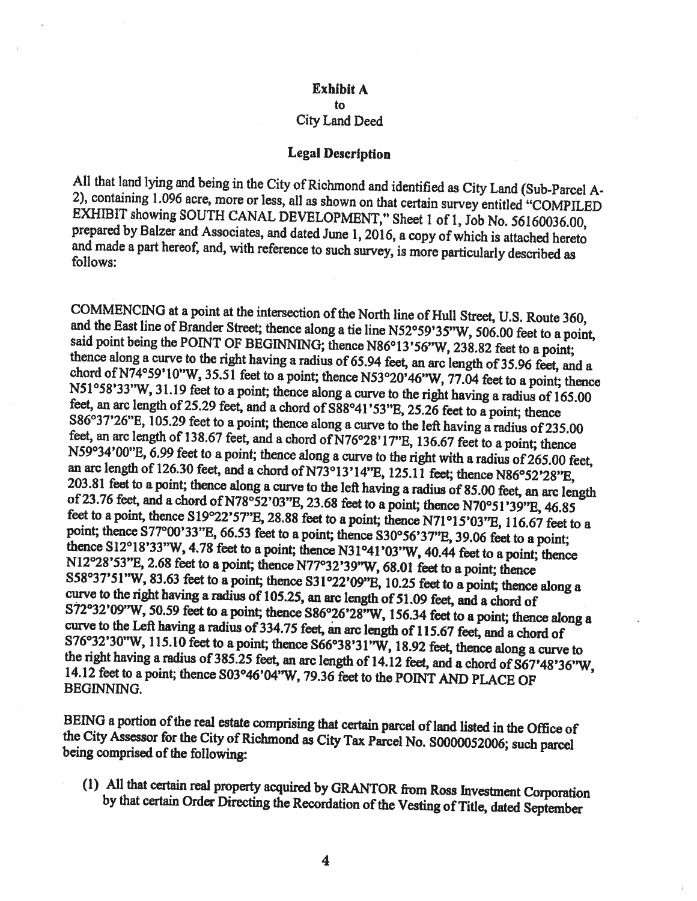### **Exhibit A**  $\mathbf{t}$ City Land Deed

#### **Legal Description**

All that land lying and being in the City of Richmond and identified as City Land (Sub-Parcel A-2), containing 1.096 acre, more or less, all as shown on that certain survey entitled "COMPILED EXHIBIT showing SOUTH CANAL DEVELOPMENT," Sheet 1 of 1, Job No. 56160036.00, prepared by Balzer and Associates, and dated June 1, 2016, a copy of which is attached hereto and made a part hereof, and, with reference to such survey, is more particularly described as follows:

COMMENCING at a point at the intersection of the North line of Hull Street, U.S. Route 360, and the East line of Brander Street; thence along a tie line N52°59'35"W, 506.00 feet to a point, said point being the POINT OF BEGINNING; thence N86°13'56"W, 238.82 feet to a point; thence along a curve to the right having a radius of 65.94 feet, an arc length of 35.96 feet, and a chord of N74°59'10"W, 35.51 feet to a point; thence N53°20'46"W, 77.04 feet to a point; thence N51°58'33"W, 31.19 feet to a point; thence along a curve to the right having a radius of 165.00 feet, an arc length of 25.29 feet, and a chord of S88°41'53"E, 25.26 feet to a point; thence S86°37'26"E, 105.29 feet to a point; thence along a curve to the left having a radius of 235.00 feet, an arc length of 138.67 feet, and a chord of N76°28'17"E, 136.67 feet to a point; thence N59°34'00"E, 6.99 feet to a point; thence along a curve to the right with a radius of 265.00 feet, an arc length of 126.30 feet, and a chord of N73°13'14"E, 125.11 feet; thence N86°52'28"E, 203.81 feet to a point; thence along a curve to the left having a radius of 85.00 feet, an arc length of 23.76 feet, and a chord of N78°52'03"E, 23.68 feet to a point; thence N70°51'39"E, 46.85 feet to a point, thence S19°22'57"E, 28.88 feet to a point; thence N71°15'03"E, 116.67 feet to a point; thence S77°00'33"E, 66.53 feet to a point; thence S30°56'37"E, 39.06 feet to a point; thence S12°18'33"W, 4.78 feet to a point; thence N31°41'03"W, 40.44 feet to a point; thence N12°28'53"E, 2.68 feet to a point; thence N77°32'39"W, 68.01 feet to a point; thence S58°37'51"W, 83.63 feet to a point; thence S31°22'09"E, 10.25 feet to a point; thence along a curve to the right having a radius of 105.25, an arc length of 51.09 feet, and a chord of S72°32'09"W, 50.59 feet to a point; thence S86°26'28"W, 156.34 feet to a point; thence along a curve to the Left having a radius of 334.75 feet, an arc length of 115.67 feet, and a chord of S76°32'30"W, 115.10 feet to a point; thence S66°38'31"W, 18.92 feet, thence along a curve to the right having a radius of 385.25 feet, an arc length of 14.12 feet, and a chord of S67'48'36"W, 14.12 feet to a point; thence S03°46'04"W, 79.36 feet to the POINT AND PLACE OF **BEGINNING.** 

BEING a portion of the real estate comprising that certain parcel of land listed in the Office of the City Assessor for the City of Richmond as City Tax Parcel No. S0000052006; such parcel being comprised of the following:

(1) All that certain real property acquired by GRANTOR from Ross Investment Corporation by that certain Order Directing the Recordation of the Vesting of Title, dated September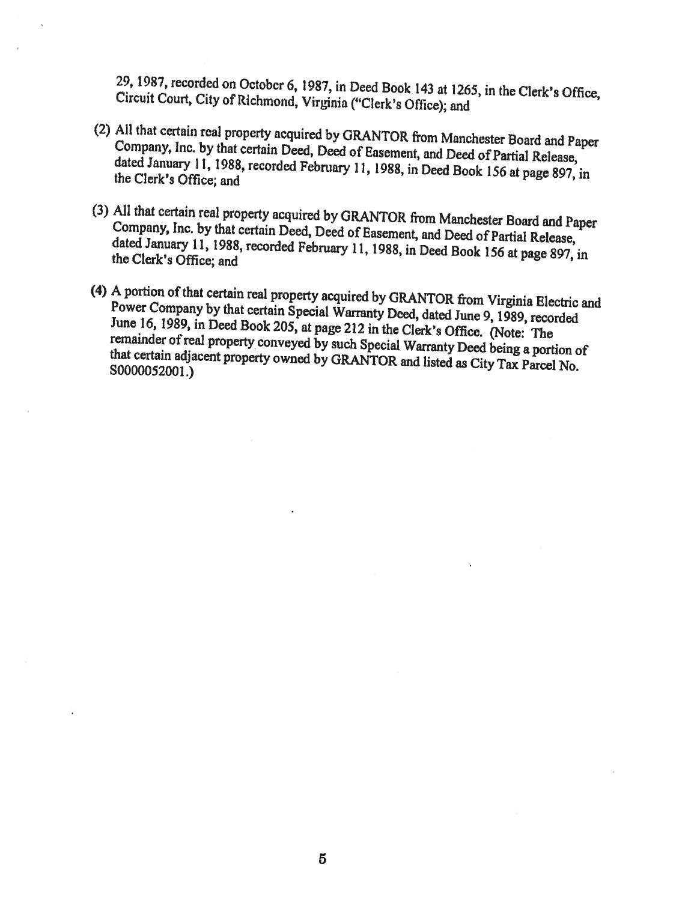29, 1987, recorded on October 6, 1987, in Deed Book 143 at 1265, in the Clerk's Office, Circuit Court, City of Richmond, Virginia ("Clerk's Office); and

- (2) All that certain real property acquired by GRANTOR from Manchester Board and Paper Company, Inc. by that certain Deed, Deed of Easement, and Deed of Partial Release, dated January 11, 1988, recorded February 11, 1988, in Deed Book 156 at page 897, in the Clerk's Office; and
- (3) All that certain real property acquired by GRANTOR from Manchester Board and Paper Company, Inc. by that certain Deed, Deed of Easement, and Deed of Partial Release, dated January 11, 1988, recorded February 11, 1988, in Deed Book 156 at page 897, in the Clerk's Office; and
- (4) A portion of that certain real property acquired by GRANTOR from Virginia Electric and Power Company by that certain Special Warranty Deed, dated June 9, 1989, recorded June 16, 1989, in Deed Book 205, at page 212 in the Clerk's Office. (Note: The remainder of real property conveyed by such Special Warranty Deed being a portion of that certain adjacent property owned by GRANTOR and listed as City Tax Parcel No. S0000052001.)